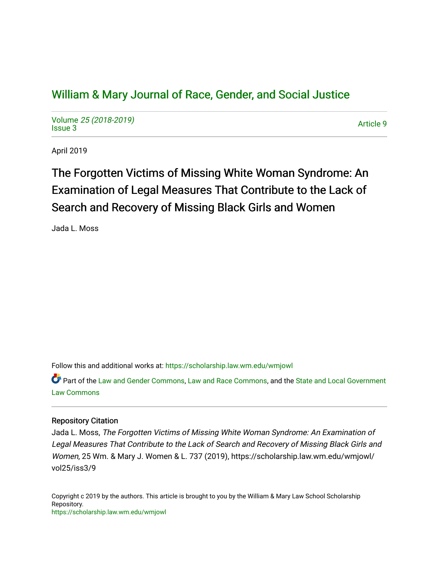# [William & Mary Journal of Race, Gender, and Social Justice](https://scholarship.law.wm.edu/wmjowl)

Volume [25 \(2018-2019\)](https://scholarship.law.wm.edu/wmjowl/vol25)  volume 25 (2010-2019)<br>[Issue 3](https://scholarship.law.wm.edu/wmjowl/vol25/iss3) Article 9

April 2019

The Forgotten Victims of Missing White Woman Syndrome: An Examination of Legal Measures That Contribute to the Lack of Search and Recovery of Missing Black Girls and Women

Jada L. Moss

Follow this and additional works at: [https://scholarship.law.wm.edu/wmjowl](https://scholarship.law.wm.edu/wmjowl?utm_source=scholarship.law.wm.edu%2Fwmjowl%2Fvol25%2Fiss3%2F9&utm_medium=PDF&utm_campaign=PDFCoverPages) 

Part of the [Law and Gender Commons,](http://network.bepress.com/hgg/discipline/1298?utm_source=scholarship.law.wm.edu%2Fwmjowl%2Fvol25%2Fiss3%2F9&utm_medium=PDF&utm_campaign=PDFCoverPages) [Law and Race Commons,](http://network.bepress.com/hgg/discipline/1300?utm_source=scholarship.law.wm.edu%2Fwmjowl%2Fvol25%2Fiss3%2F9&utm_medium=PDF&utm_campaign=PDFCoverPages) and the [State and Local Government](http://network.bepress.com/hgg/discipline/879?utm_source=scholarship.law.wm.edu%2Fwmjowl%2Fvol25%2Fiss3%2F9&utm_medium=PDF&utm_campaign=PDFCoverPages) [Law Commons](http://network.bepress.com/hgg/discipline/879?utm_source=scholarship.law.wm.edu%2Fwmjowl%2Fvol25%2Fiss3%2F9&utm_medium=PDF&utm_campaign=PDFCoverPages) 

## Repository Citation

Jada L. Moss, The Forgotten Victims of Missing White Woman Syndrome: An Examination of Legal Measures That Contribute to the Lack of Search and Recovery of Missing Black Girls and Women, 25 Wm. & Mary J. Women & L. 737 (2019), https://scholarship.law.wm.edu/wmjowl/ vol25/iss3/9

Copyright c 2019 by the authors. This article is brought to you by the William & Mary Law School Scholarship Repository. <https://scholarship.law.wm.edu/wmjowl>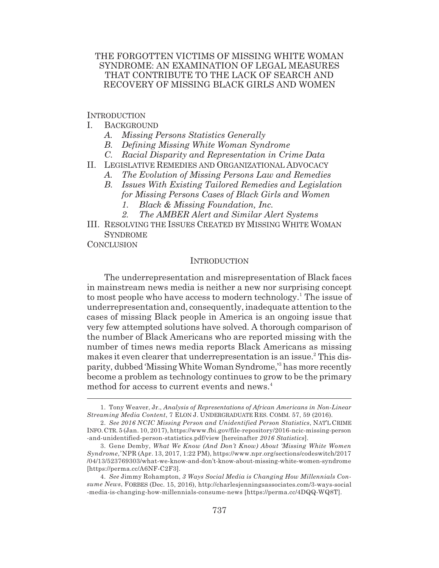## THE FORGOTTEN VICTIMS OF MISSING WHITE WOMAN SYNDROME: AN EXAMINATION OF LEGAL MEASURES THAT CONTRIBUTE TO THE LACK OF SEARCH AND RECOVERY OF MISSING BLACK GIRLS AND WOMEN

INTRODUCTION

- I. BACKGROUND
	- *A. Missing Persons Statistics Generally*
	- *B. Defining Missing White Woman Syndrome*
	- *C. Racial Disparity and Representation in Crime Data*
- II. LEGISLATIVE REMEDIES AND ORGANIZATIONAL ADVOCACY
	- *A. The Evolution of Missing Persons Law and Remedies*
	- *B. Issues With Existing Tailored Remedies and Legislation for Missing Persons Cases of Black Girls and Women*
		- *1. Black & Missing Foundation, Inc.*
		- *2. The AMBER Alert and Similar Alert Systems*
- III. RESOLVING THE ISSUES CREATED BY MISSING WHITE WOMAN **SYNDROME**

**CONCLUSION** 

### **INTRODUCTION**

The underrepresentation and misrepresentation of Black faces in mainstream news media is neither a new nor surprising concept to most people who have access to modern technology.<sup>1</sup> The issue of underrepresentation and, consequently, inadequate attention to the cases of missing Black people in America is an ongoing issue that very few attempted solutions have solved. A thorough comparison of the number of Black Americans who are reported missing with the number of times news media reports Black Americans as missing makes it even clearer that underrepresentation is an issue.<sup>2</sup> This disparity, dubbed 'Missing White Woman Syndrome,'3 has more recently become a problem as technology continues to grow to be the primary method for access to current events and news.<sup>4</sup>

<sup>1.</sup> Tony Weaver, Jr., *Analysis of Representations of African Americans in Non-Linear Streaming Media Content*, 7 ELON J. UNDERGRADUATE RES. COMM. 57, 59 (2016).

<sup>2.</sup> *See 2016 NCIC Missing Person and Unidentified Person Statistics*, NAT'L CRIME INFO.CTR. 5 (Jan. 10, 2017), https://www.fbi.gov/file-repository/2016-ncic-missing-person -and-unidentified-person-statistics.pdf/view [hereinafter *2016 Statistics*].

<sup>3.</sup> Gene Demby, *What We Know (And Don't Know) About 'Missing White Women Syndrome*,*'* NPR (Apr. 13, 2017, 1:22 PM), https://www.npr.org/sections/codeswitch/2017 /04/13/523769303/what-we-know-and-don't-know-about-missing-white-women-syndrome [https://perma.cc/A6NF-C2F3].

<sup>4.</sup> *See* Jimmy Rohampton, *3 Ways Social Media is Changing How Millennials Consume News*, FORBES (Dec. 15, 2016), http://charlesjenningsassociates.com/3-ways-social -media-is-changing-how-millennials-consume-news [https://perma.cc/4DQQ-WQ8T].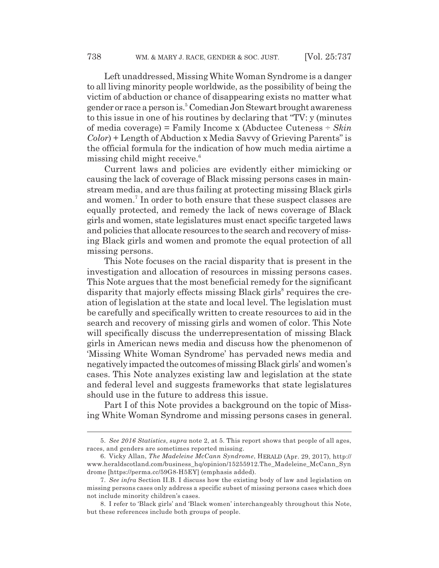Left unaddressed, Missing White Woman Syndrome is a danger to all living minority people worldwide, as the possibility of being the victim of abduction or chance of disappearing exists no matter what gender or race a person is.<sup>5</sup> Comedian Jon Stewart brought awareness to this issue in one of his routines by declaring that "TV: y (minutes of media coverage) = Family Income x (Abductee Cuteness ÷ *Skin Color*) + Length of Abduction x Media Savvy of Grieving Parents" is the official formula for the indication of how much media airtime a missing child might receive. $6$ 

Current laws and policies are evidently either mimicking or causing the lack of coverage of Black missing persons cases in mainstream media, and are thus failing at protecting missing Black girls and women.<sup>7</sup> In order to both ensure that these suspect classes are equally protected, and remedy the lack of news coverage of Black girls and women, state legislatures must enact specific targeted laws and policies that allocate resources to the search and recovery of missing Black girls and women and promote the equal protection of all missing persons.

This Note focuses on the racial disparity that is present in the investigation and allocation of resources in missing persons cases. This Note argues that the most beneficial remedy for the significant disparity that majorly effects missing Black girls<sup>8</sup> requires the creation of legislation at the state and local level. The legislation must be carefully and specifically written to create resources to aid in the search and recovery of missing girls and women of color. This Note will specifically discuss the underrepresentation of missing Black girls in American news media and discuss how the phenomenon of 'Missing White Woman Syndrome' has pervaded news media and negatively impacted the outcomes of missing Black girls' and women's cases. This Note analyzes existing law and legislation at the state and federal level and suggests frameworks that state legislatures should use in the future to address this issue.

Part I of this Note provides a background on the topic of Missing White Woman Syndrome and missing persons cases in general.

<sup>5.</sup> *See 2016 Statistics*, *supra* note 2, at 5. This report shows that people of all ages, races, and genders are sometimes reported missing.

<sup>6.</sup> Vicky Allan, *The Madeleine McCann Syndrome*, HERALD (Apr. 29, 2017), http:// www.heraldscotland.com/business\_hq/opinion/15255912.The\_Madeleine\_McCann\_Syn drome [https://perma.cc/59G8-H5EY] (emphasis added).

<sup>7.</sup> *See infra* Section II.B. I discuss how the existing body of law and legislation on missing persons cases only address a specific subset of missing persons cases which does not include minority children's cases.

<sup>8.</sup> I refer to 'Black girls' and 'Black women' interchangeably throughout this Note, but these references include both groups of people.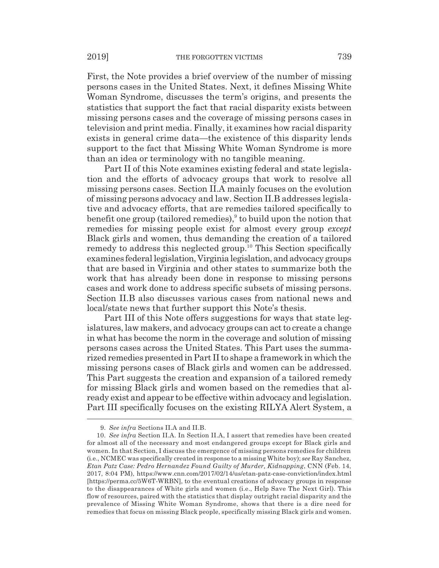First, the Note provides a brief overview of the number of missing persons cases in the United States. Next, it defines Missing White Woman Syndrome, discusses the term's origins, and presents the statistics that support the fact that racial disparity exists between missing persons cases and the coverage of missing persons cases in television and print media. Finally, it examines how racial disparity exists in general crime data—the existence of this disparity lends support to the fact that Missing White Woman Syndrome is more than an idea or terminology with no tangible meaning.

Part II of this Note examines existing federal and state legislation and the efforts of advocacy groups that work to resolve all missing persons cases. Section II.A mainly focuses on the evolution of missing persons advocacy and law. Section II.B addresses legislative and advocacy efforts, that are remedies tailored specifically to benefit one group (tailored remedies), $9$  to build upon the notion that remedies for missing people exist for almost every group *except* Black girls and women, thus demanding the creation of a tailored remedy to address this neglected group.<sup>10</sup> This Section specifically examines federal legislation, Virginia legislation, and advocacy groups that are based in Virginia and other states to summarize both the work that has already been done in response to missing persons cases and work done to address specific subsets of missing persons. Section II.B also discusses various cases from national news and local/state news that further support this Note's thesis.

Part III of this Note offers suggestions for ways that state legislatures, law makers, and advocacy groups can act to create a change in what has become the norm in the coverage and solution of missing persons cases across the United States. This Part uses the summarized remedies presented in Part II to shape a framework in which the missing persons cases of Black girls and women can be addressed. This Part suggests the creation and expansion of a tailored remedy for missing Black girls and women based on the remedies that already exist and appear to be effective within advocacy and legislation. Part III specifically focuses on the existing RILYA Alert System, a

<sup>9.</sup> *See infra* Sections II.A and II.B.

<sup>10.</sup> *See infra* Section II.A. In Section II.A, I assert that remedies have been created for almost all of the necessary and most endangered groups except for Black girls and women. In that Section, I discuss the emergence of missing persons remedies for children (i.e., NCMEC was specifically created in response to a missing White boy); *see* Ray Sanchez, *Etan Patz Case: Pedro Hernandez Found Guilty of Murder, Kidnapping*, CNN (Feb. 14, 2017, 8:04 PM), https://www.cnn.com/2017/02/14/us/etan-patz-case-conviction/index.html [https://perma.cc/5W6T-WRBN], to the eventual creations of advocacy groups in response to the disappearances of White girls and women (i.e., Help Save The Next Girl). This flow of resources, paired with the statistics that display outright racial disparity and the prevalence of Missing White Woman Syndrome, shows that there is a dire need for remedies that focus on missing Black people, specifically missing Black girls and women.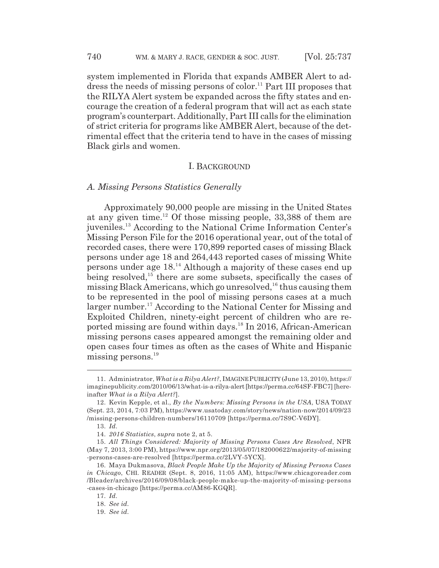system implemented in Florida that expands AMBER Alert to address the needs of missing persons of color.<sup>11</sup> Part III proposes that the RILYA Alert system be expanded across the fifty states and encourage the creation of a federal program that will act as each state program's counterpart. Additionally, Part III calls for the elimination of strict criteria for programs like AMBER Alert, because of the detrimental effect that the criteria tend to have in the cases of missing Black girls and women.

#### I. BACKGROUND

#### *A. Missing Persons Statistics Generally*

Approximately 90,000 people are missing in the United States at any given time.12 Of those missing people, 33,388 of them are juveniles.13 According to the National Crime Information Center's Missing Person File for the 2016 operational year, out of the total of recorded cases, there were 170,899 reported cases of missing Black persons under age 18 and 264,443 reported cases of missing White persons under age 18.14 Although a majority of these cases end up being resolved,<sup>15</sup> there are some subsets, specifically the cases of missing Black Americans, which go unresolved,  $16$  thus causing them to be represented in the pool of missing persons cases at a much larger number.<sup>17</sup> According to the National Center for Missing and Exploited Children, ninety-eight percent of children who are reported missing are found within days.18 In 2016, African-American missing persons cases appeared amongst the remaining older and open cases four times as often as the cases of White and Hispanic missing persons.<sup>19</sup>

<sup>11.</sup> Administrator, *What is a Rilya Alert?*, IMAGINE PUBLICITY (June 13, 2010), https:// imaginepublicity.com/2010/06/13/what-is-a-rilya-alert [https://perma.cc/64SF-FBC7] [hereinafter *What is a Rilya Alert?*].

<sup>12.</sup> Kevin Kepple, et al., *By the Numbers: Missing Persons in the USA*, USA TODAY (Sept. 23, 2014, 7:03 PM), https://www.usatoday.com/story/news/nation-now/2014/09/23 /missing-persons-children-numbers/16110709 [https://perma.cc/7S9C-V6DY].

<sup>13.</sup> *Id.*

<sup>14.</sup> *2016 Statistics*, *supra* note 2, at 5.

<sup>15.</sup> *All Things Considered: Majority of Missing Persons Cases Are Resolved*, NPR (May 7, 2013, 3:00 PM), https://www.npr.org/2013/05/07/182000622/majority-of-missing -persons-cases-are-resolved [https://perma.cc/2LVY-5YCX].

<sup>16.</sup> Maya Dukmasova, *Black People Make Up the Majority of Missing Persons Cases in Chicago*, CHI. READER (Sept. 8, 2016, 11:05 AM), https://www.chicagoreader.com /Bleader/archives/2016/09/08/black-people-make-up-the-majority-of-missing-persons -cases-in-chicago [https://perma.cc/AM86-KGQR].

<sup>17.</sup> *Id.*

<sup>18.</sup> *See id.*

<sup>19.</sup> *See id.*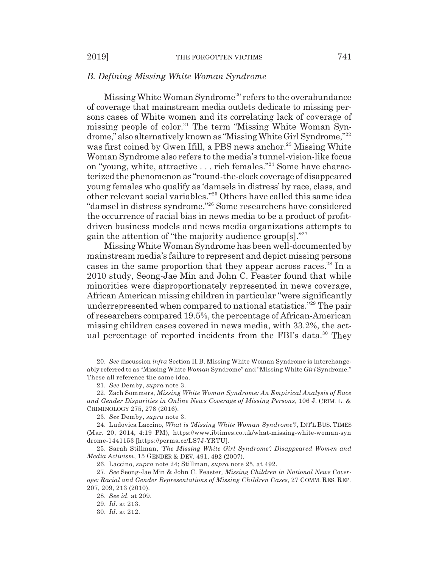#### *B. Defining Missing White Woman Syndrome*

Missing White Woman Syndrome<sup>20</sup> refers to the overabundance of coverage that mainstream media outlets dedicate to missing persons cases of White women and its correlating lack of coverage of missing people of color.<sup>21</sup> The term "Missing White Woman Syndrome," also alternatively known as "Missing White Girl Syndrome,"22 was first coined by Gwen Ifill, a PBS news anchor.<sup>23</sup> Missing White Woman Syndrome also refers to the media's tunnel-vision-like focus on "young, white, attractive . . . rich females."24 Some have characterized the phenomenon as "round-the-clock coverage of disappeared young females who qualify as 'damsels in distress' by race, class, and other relevant social variables."25 Others have called this same idea "damsel in distress syndrome."26 Some researchers have considered the occurrence of racial bias in news media to be a product of profitdriven business models and news media organizations attempts to gain the attention of "the majority audience group[s]."27

Missing White Woman Syndrome has been well-documented by mainstream media's failure to represent and depict missing persons cases in the same proportion that they appear across races.<sup>28</sup> In a 2010 study, Seong-Jae Min and John C. Feaster found that while minorities were disproportionately represented in news coverage, African American missing children in particular "were significantly underrepresented when compared to national statistics."29 The pair of researchers compared 19.5%, the percentage of African-American missing children cases covered in news media, with 33.2%, the actual percentage of reported incidents from the FBI's data.<sup>30</sup> They

25. Sarah Stillman, *'The Missing White Girl Syndrome': Disappeared Women and Media Activism*, 15 GENDER & DEV. 491, 492 (2007).

26. Laccino, *supra* note 24; Stillman, *supra* note 25, at 492.

<sup>20.</sup> *See* discussion *infra* Section II.B. Missing White Woman Syndrome is interchangeably referred to as "Missing White *Woman* Syndrome" and "Missing White *Girl* Syndrome." These all reference the same idea.

<sup>21.</sup> *See* Demby, *supra* note 3.

<sup>22.</sup> Zach Sommers, *Missing White Woman Syndrome: An Empirical Analysis of Race and Gender Disparities in Online News Coverage of Missing Persons*, 106 J. CRIM. L. & CRIMINOLOGY 275, 278 (2016).

<sup>23.</sup> *See* Demby, *supra* note 3.

<sup>24.</sup> Ludovica Laccino, *What is 'Missing White Woman Syndrome'?*, INT'L BUS. TIMES (Mar. 20, 2014, 4:19 PM), https://www.ibtimes.co.uk/what-missing-white-woman-syn drome-1441153 [https://perma.cc/LS7J-YRTU].

<sup>27.</sup> *See* Seong-Jae Min & John C. Feaster*, Missing Children in National News Coverage: Racial and Gender Representations of Missing Children Cases,* 27 COMM. RES. REP. 207, 209, 213 (2010).

<sup>28.</sup> *See id.* at 209.

<sup>29.</sup> *Id.* at 213.

<sup>30.</sup> *Id.* at 212.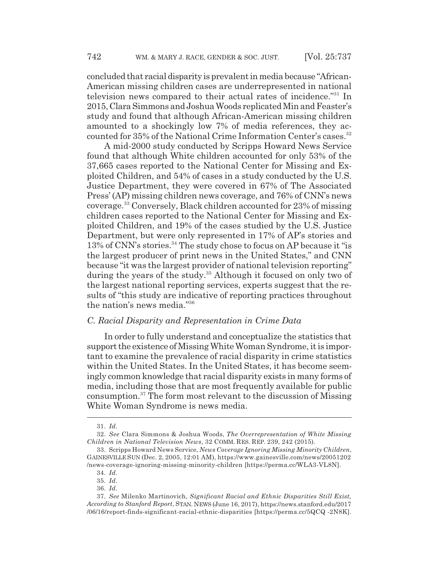concluded that racial disparity is prevalent in media because "African-American missing children cases are underrepresented in national television news compared to their actual rates of incidence."31 In 2015, Clara Simmons and Joshua Woods replicated Min and Feaster's study and found that although African-American missing children amounted to a shockingly low 7% of media references, they accounted for 35% of the National Crime Information Center's cases.<sup>32</sup>

A mid-2000 study conducted by Scripps Howard News Service found that although White children accounted for only 53% of the 37,665 cases reported to the National Center for Missing and Exploited Children, and 54% of cases in a study conducted by the U.S. Justice Department, they were covered in 67% of The Associated Press' (AP) missing children news coverage, and 76% of CNN's news coverage.33 Conversely, Black children accounted for 23% of missing children cases reported to the National Center for Missing and Exploited Children, and 19% of the cases studied by the U.S. Justice Department, but were only represented in 17% of AP's stories and 13% of CNN's stories.<sup>34</sup> The study chose to focus on AP because it "is" the largest producer of print news in the United States," and CNN because "it was the largest provider of national television reporting" during the years of the study.<sup>35</sup> Although it focused on only two of the largest national reporting services, experts suggest that the results of "this study are indicative of reporting practices throughout the nation's news media."36

## *C. Racial Disparity and Representation in Crime Data*

In order to fully understand and conceptualize the statistics that support the existence of Missing White Woman Syndrome, it is important to examine the prevalence of racial disparity in crime statistics within the United States. In the United States, it has become seemingly common knowledge that racial disparity exists in many forms of media, including those that are most frequently available for public consumption.37 The form most relevant to the discussion of Missing White Woman Syndrome is news media.

<sup>31.</sup> *Id.*

<sup>32.</sup> *See* Clara Simmons & Joshua Woods, *The Overrepresentation of White Missing Children in National Television News*, 32 COMM. RES. REP. 239, 242 (2015).

<sup>33.</sup> Scripps Howard News Service, *News Coverage Ignoring Missing Minority Children*, GAINESVILLE SUN (Dec. 2, 2005, 12:01 AM), https://www.gainesville.com/news/20051202 /news-coverage-ignoring-missing-minority-children [https://perma.cc/WLA3-VL8N].

<sup>34.</sup> *Id.*

<sup>35.</sup> *Id.*

<sup>36.</sup> *Id.*

<sup>37.</sup> *See* Milenko Martinovich, *Significant Racial and Ethnic Disparities Still Exist, According to Stanford Report*, STAN. NEWS (June 16, 2017), https://news.stanford.edu/2017 /06/16/report-finds-significant-racial-ethnic-disparities [https://perma.cc/5QCQ -2N8K].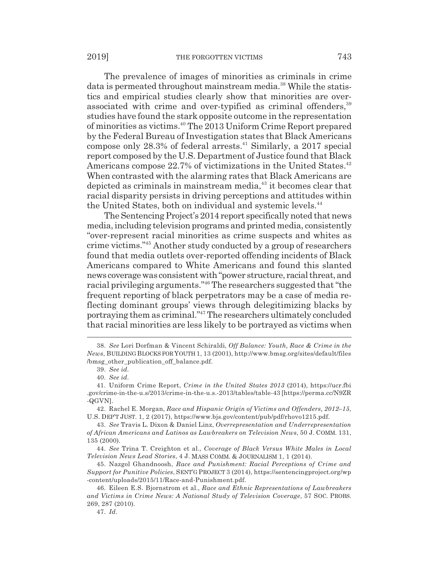The prevalence of images of minorities as criminals in crime data is permeated throughout mainstream media.<sup>38</sup> While the statistics and empirical studies clearly show that minorities are overassociated with crime and over-typified as criminal offenders,<sup>39</sup> studies have found the stark opposite outcome in the representation of minorities as victims.40 The 2013 Uniform Crime Report prepared by the Federal Bureau of Investigation states that Black Americans compose only  $28.3\%$  of federal arrests.<sup>41</sup> Similarly, a 2017 special report composed by the U.S. Department of Justice found that Black Americans compose 22.7% of victimizations in the United States.<sup>42</sup> When contrasted with the alarming rates that Black Americans are depicted as criminals in mainstream media, $43$  it becomes clear that racial disparity persists in driving perceptions and attitudes within the United States, both on individual and systemic levels.<sup>44</sup>

The Sentencing Project's 2014 report specifically noted that news media, including television programs and printed media, consistently "over-represent racial minorities as crime suspects and whites as crime victims."45 Another study conducted by a group of researchers found that media outlets over-reported offending incidents of Black Americans compared to White Americans and found this slanted news coverage was consistent with "power structure, racial threat, and racial privileging arguments."46 The researchers suggested that "the frequent reporting of black perpetrators may be a case of media reflecting dominant groups' views through delegitimizing blacks by portraying them as criminal."47 The researchers ultimately concluded that racial minorities are less likely to be portrayed as victims when

<sup>38.</sup> *See* Lori Dorfman & Vincent Schiraldi, *Off Balance: Youth, Race & Crime in the News*, BUILDING BLOCKS FOR YOUTH 1, 13 (2001), http://www.bmsg.org/sites/default/files /bmsg\_other\_publication\_off\_balance.pdf.

<sup>39.</sup> *See id.*

<sup>40.</sup> *See id.*

<sup>41.</sup> Uniform Crime Report, *Crime in the United States 2013* (2014), https://ucr.fbi .gov/crime-in-the-u.s/2013/crime-in-the-u.s.-2013/tables/table-43 [https://perma.cc/N9ZR -QGVN].

<sup>42.</sup> Rachel E. Morgan, *Race and Hispanic Origin of Victims and Offenders, 2012–15*, U.S. DEP'T JUST. 1, 2 (2017), https://www.bjs.gov/content/pub/pdf/rhovo1215.pdf.

<sup>43.</sup> *See* Travis L. Dixon & Daniel Linz, *Overrepresentation and Underrepresentation of African Americans and Latinos as Lawbreakers on Television News*, 50 J. COMM. 131, 135 (2000).

<sup>44.</sup> *See* Trina T. Creighton et al., *Coverage of Black Versus White Males in Local Television News Lead Stories*, 4 J. MASS COMM. & JOURNALISM 1, 1 (2014).

<sup>45.</sup> Nazgol Ghandnoosh, *Race and Punishment: Racial Perceptions of Crime and Support for Punitive Policies*, SENT'G PROJECT 3 (2014), https://sentencingproject.org/wp -content/uploads/2015/11/Race-and-Punishment.pdf.

<sup>46.</sup> Eileen E.S. Bjornstrom et al., *Race and Ethnic Representations of Lawbreakers and Victims in Crime News: A National Study of Television Coverage*, 57 SOC. PROBS. 269, 287 (2010).

<sup>47.</sup> *Id.*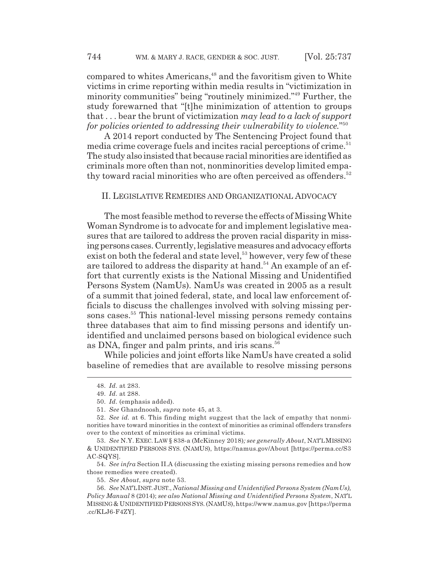compared to whites Americans,<sup>48</sup> and the favoritism given to White victims in crime reporting within media results in "victimization in minority communities" being "routinely minimized."49 Further, the study forewarned that "[t]he minimization of attention to groups that . . . bear the brunt of victimization *may lead to a lack of support for policies oriented to addressing their vulnerability to violence.*" 50

A 2014 report conducted by The Sentencing Project found that media crime coverage fuels and incites racial perceptions of crime.<sup>51</sup> The study also insisted that because racial minorities are identified as criminals more often than not, nonminorities develop limited empathy toward racial minorities who are often perceived as offenders.<sup>52</sup>

#### II. LEGISLATIVE REMEDIES AND ORGANIZATIONAL ADVOCACY

The most feasible method to reverse the effects of Missing White Woman Syndrome is to advocate for and implement legislative measures that are tailored to address the proven racial disparity in missing persons cases. Currently, legislative measures and advocacy efforts exist on both the federal and state level,<sup>53</sup> however, very few of these are tailored to address the disparity at hand.<sup>54</sup> An example of an effort that currently exists is the National Missing and Unidentified Persons System (NamUs). NamUs was created in 2005 as a result of a summit that joined federal, state, and local law enforcement officials to discuss the challenges involved with solving missing persons cases.<sup>55</sup> This national-level missing persons remedy contains three databases that aim to find missing persons and identify unidentified and unclaimed persons based on biological evidence such as DNA, finger and palm prints, and iris scans.<sup>56</sup>

While policies and joint efforts like NamUs have created a solid baseline of remedies that are available to resolve missing persons

54. *See infra* Section II.A (discussing the existing missing persons remedies and how those remedies were created).

<sup>48.</sup> *Id.* at 283.

<sup>49.</sup> *Id.* at 288.

<sup>50.</sup> *Id.* (emphasis added).

<sup>51.</sup> *See* Ghandnoosh, *supra* note 45, at 3.

<sup>52.</sup> *See id.* at 6. This finding might suggest that the lack of empathy that nonminorities have toward minorities in the context of minorities as criminal offenders transfers over to the context of minorities as criminal victims.

<sup>53.</sup> *See* N.Y. EXEC. LAW § 838-a (McKinney 2018)*; see generally About*, NAT'L MISSING & UNIDENTIFIED PERSONS SYS. (NAMUS), https://namus.gov/About [https://perma.cc/S3 AC-SQYS].

<sup>55.</sup> *See About*, *supra* note 53.

<sup>56.</sup> *See* NAT'L INST.JUST., *National Missing and Unidentified Persons System (NamUs), Policy Manual* 8 (2014); *see also National Missing and Unidentified Persons System*, NAT'L MISSING & UNIDENTIFIED PERSONS SYS.(NAMUS),https://www.namus.gov [https://perma .cc/KLJ6-F4ZY].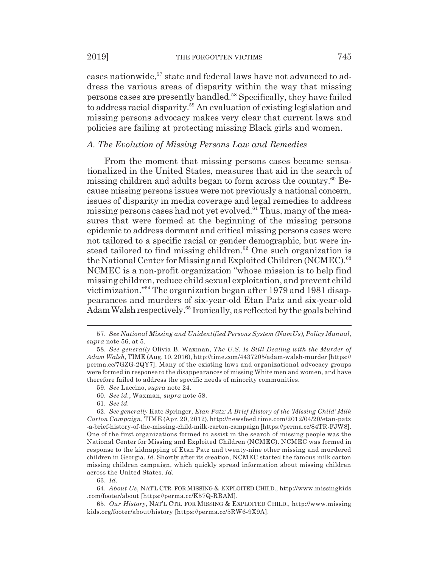cases nationwide,<sup>57</sup> state and federal laws have not advanced to address the various areas of disparity within the way that missing persons cases are presently handled.<sup>58</sup> Specifically, they have failed to address racial disparity.59 An evaluation of existing legislation and missing persons advocacy makes very clear that current laws and policies are failing at protecting missing Black girls and women.

## *A. The Evolution of Missing Persons Law and Remedies*

From the moment that missing persons cases became sensationalized in the United States, measures that aid in the search of missing children and adults began to form across the country.<sup>60</sup> Because missing persons issues were not previously a national concern, issues of disparity in media coverage and legal remedies to address missing persons cases had not yet evolved.<sup>61</sup> Thus, many of the measures that were formed at the beginning of the missing persons epidemic to address dormant and critical missing persons cases were not tailored to a specific racial or gender demographic, but were instead tailored to find missing children.<sup>62</sup> One such organization is the National Center for Missing and Exploited Children (NCMEC).<sup>63</sup> NCMEC is a non-profit organization "whose mission is to help find missing children, reduce child sexual exploitation, and prevent child victimization."64 The organization began after 1979 and 1981 disappearances and murders of six-year-old Etan Patz and six-year-old Adam Walsh respectively.65 Ironically, as reflected by the goals behind

63. *Id.*

64. *About Us*, NAT'L CTR. FOR MISSING & EXPLOITED CHILD., http://www.missingkids .com/footer/about [https://perma.cc/K57Q-RBAM].

65. *Our History*, NAT'L CTR. FOR MISSING & EXPLOITED CHILD., http://www.missing kids.org/footer/about/history [https://perma.cc/5RW6-9X9A].

<sup>57.</sup> *See National Missing and Unidentified Persons System (NamUs), Policy Manual*, *supra* note 56, at 5.

<sup>58.</sup> *See generally* Olivia B. Waxman, *The U.S. Is Still Dealing with the Murder of Adam Walsh*, TIME (Aug. 10, 2016), http://time.com/4437205/adam-walsh-murder [https:// perma.cc/7GZG-2QY7]. Many of the existing laws and organizational advocacy groups were formed in response to the disappearances of missing White men and women, and have therefore failed to address the specific needs of minority communities.

<sup>59.</sup> *See* Laccino, *supra* note 24.

<sup>60.</sup> *See id.*; Waxman, *supra* note 58.

<sup>61.</sup> *See id.*

<sup>62.</sup> *See generally* Kate Springer, *Etan Patz: A Brief History of the 'Missing Child' Milk Carton Campaign*, TIME (Apr. 20, 2012), http://newsfeed.time.com/2012/04/20/etan-patz -a-brief-history-of-the-missing-child-milk-carton-campaign [https://perma.cc/84TR-FJW8]. One of the first organizations formed to assist in the search of missing people was the National Center for Missing and Exploited Children (NCMEC). NCMEC was formed in response to the kidnapping of Etan Patz and twenty-nine other missing and murdered children in Georgia. *Id.* Shortly after its creation, NCMEC started the famous milk carton missing children campaign, which quickly spread information about missing children across the United States. *Id.*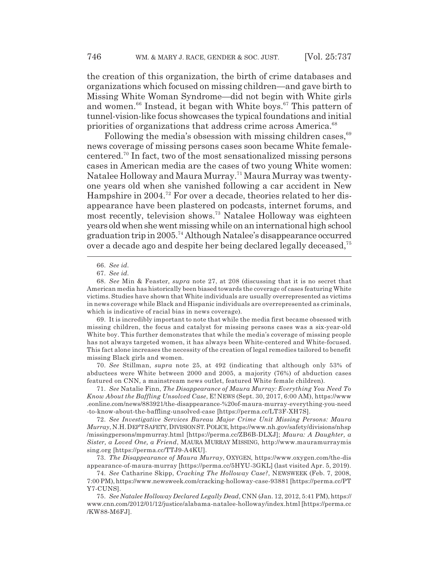the creation of this organization, the birth of crime databases and organizations which focused on missing children—and gave birth to Missing White Woman Syndrome—did not begin with White girls and women.<sup>66</sup> Instead, it began with White boys.<sup>67</sup> This pattern of tunnel-vision-like focus showcases the typical foundations and initial priorities of organizations that address crime across America.<sup>68</sup>

Following the media's obsession with missing children cases,<sup>69</sup> news coverage of missing persons cases soon became White femalecentered.70 In fact, two of the most sensationalized missing persons cases in American media are the cases of two young White women: Natalee Holloway and Maura Murray.71 Maura Murray was twentyone years old when she vanished following a car accident in New Hampshire in 2004.<sup>72</sup> For over a decade, theories related to her disappearance have been plastered on podcasts, internet forums, and most recently, television shows.73 Natalee Holloway was eighteen years old when she went missing while on an international high school graduation trip in 2005.74 Although Natalee's disappearance occurred over a decade ago and despite her being declared legally deceased,75

69. It is incredibly important to note that while the media first became obsessed with missing children, the focus and catalyst for missing persons cases was a six-year-old White boy. This further demonstrates that while the media's coverage of missing people has not always targeted women, it has always been White-centered and White-focused. This fact alone increases the necessity of the creation of legal remedies tailored to benefit missing Black girls and women.

70. *See* Stillman, *supra* note 25, at 492 (indicating that although only 53% of abductees were White between 2000 and 2005, a majority (76%) of abduction cases featured on CNN, a mainstream news outlet, featured White female children).

71. *See* Natalie Finn, *The Disappearance of Maura Murray: Everything You Need To Know About the Baffling Unsolved Case*, E! NEWS (Sept. 30, 2017, 6:00 AM), https://www .eonline.com/news/883921/the-disappearance-%20of-maura-murray-everything-you-need -to-know-about-the-baffling-unsolved-case [https://perma.cc/LT3F-XH7S].

72. *See Investigative Services Bureau Major Crime Unit Missing Persons: Maura Murray*, N.H.DEP'T SAFETY,DIVISION ST.POLICE, https://www.nh.gov/safety/divisions/nhsp /missingpersons/mpmurray.html [https://perma.cc/ZB6B-DLXJ]; *Maura: A Daughter, a Sister, a Loved One, a Friend*, MAURA MURRAY MISSING, http://www.mauramurraymis sing.org [https://perma.cc/TTJ9-A4KU].

73. *The Disappearance of Maura Murray*, OXYGEN, https://www.oxygen.com/the-dis appearance-of-maura-murray [https://perma.cc/5HYU-3GKL] (last visited Apr. 5, 2019).

74. *See* Catharine Skipp, *Cracking The Holloway Case?*, NEWSWEEK (Feb. 7, 2008, 7:00 PM), https://www.newsweek.com/cracking-holloway-case-93881 [https://perma.cc/PT Y7-CUNS].

<sup>66.</sup> *See id.*

<sup>67.</sup> *See id.*

<sup>68.</sup> *See* Min & Feaster*, supra* note 27, at 208 (discussing that it is no secret that American media has historically been biased towards the coverage of cases featuring White victims. Studies have shown that White individuals are usually overrepresented as victims in news coverage while Black and Hispanic individuals are overrepresented as criminals, which is indicative of racial bias in news coverage).

<sup>75.</sup> *See Natalee Holloway Declared Legally Dead*, CNN (Jan. 12, 2012, 5:41 PM), https:// www.cnn.com/2012/01/12/justice/alabama-natalee-holloway/index.html [https://perma.cc /KW88-M6FJ].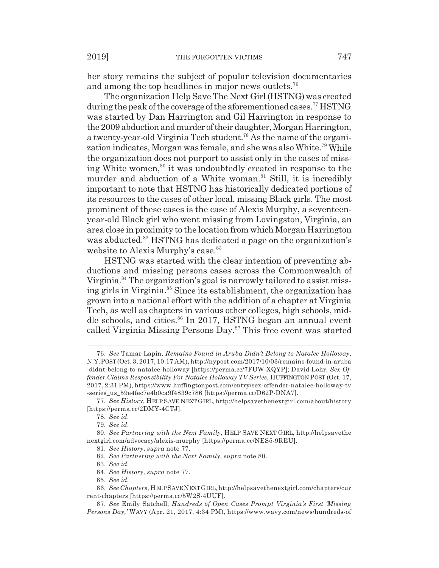her story remains the subject of popular television documentaries and among the top headlines in major news outlets.<sup>76</sup>

The organization Help Save The Next Girl (HSTNG) was created during the peak of the coverage of the aforementioned cases.<sup>77</sup> HSTNG was started by Dan Harrington and Gil Harrington in response to the 2009 abduction and murder of their daughter, Morgan Harrington, a twenty-year-old Virginia Tech student.<sup>78</sup> As the name of the organization indicates, Morgan was female, and she was also White.79 While the organization does not purport to assist only in the cases of missing White women,<sup>80</sup> it was undoubtedly created in response to the murder and abduction of a White woman.<sup>81</sup> Still, it is incredibly important to note that HSTNG has historically dedicated portions of its resources to the cases of other local, missing Black girls. The most prominent of these cases is the case of Alexis Murphy, a seventeenyear-old Black girl who went missing from Lovingston, Virginia, an area close in proximity to the location from which Morgan Harrington was abducted.<sup>82</sup> HSTNG has dedicated a page on the organization's website to Alexis Murphy's case.<sup>83</sup>

HSTNG was started with the clear intention of preventing abductions and missing persons cases across the Commonwealth of Virginia.<sup>84</sup> The organization's goal is narrowly tailored to assist missing girls in Virginia.<sup>85</sup> Since its establishment, the organization has grown into a national effort with the addition of a chapter at Virginia Tech, as well as chapters in various other colleges, high schools, middle schools, and cities.<sup>86</sup> In 2017, HSTNG began an annual event called Virginia Missing Persons Day.<sup>87</sup> This free event was started

<sup>76.</sup> *See* Tamar Lapin, *Remains Found in Aruba Didn't Belong to Natalee Holloway*, N.Y.POST (Oct. 3, 2017, 10:17 AM), http://nypost.com/2017/10/03/remains-found-in-aruba -didnt-belong-to-natalee-holloway [https://perma.cc/7FUW-XQYP]; David Lohr, *Sex Offender Claims Responsibility For Natalee Holloway TV Series*, HUFFINGTON POST (Oct. 17, 2017, 2:31 PM), https://www.huffingtonpost.com/entry/sex-offender-natalee-holloway-tv -series\_us\_59e4fec7e4b0ca9f4839c786 [https://perma.cc/D62P-DNA7].

<sup>77.</sup> *See History*, HELP SAVE NEXT GIRL, http://helpsavethenextgirl.com/about/history [https://perma.cc/2DMY-4CTJ].

<sup>78.</sup> *See id.*

<sup>79.</sup> *See id.*

<sup>80.</sup> *See Partnering with the Next Family*, HELP SAVE NEXT GIRL, http://helpsavethe nextgirl.com/advocacy/alexis-murphy [https://perma.cc/NES5-9REU].

<sup>81.</sup> *See History*, *supra* note 77.

<sup>82.</sup> *See Partnering with the Next Family, supra* note 80.

<sup>83.</sup> *See id.*

<sup>84.</sup> *See History, supra* note 77.

<sup>85.</sup> *See id.*

<sup>86.</sup> *See Chapters*, HELP SAVE NEXT GIRL, http://helpsavethenextgirl.com/chapters/cur rent-chapters [https://perma.cc/5W2S-4UUF].

<sup>87.</sup> *See* Emily Satchell, *Hundreds of Open Cases Prompt Virginia's First 'Missing Persons Day,'* WAVY (Apr. 21, 2017, 4:34 PM), https://www.wavy.com/news/hundreds-of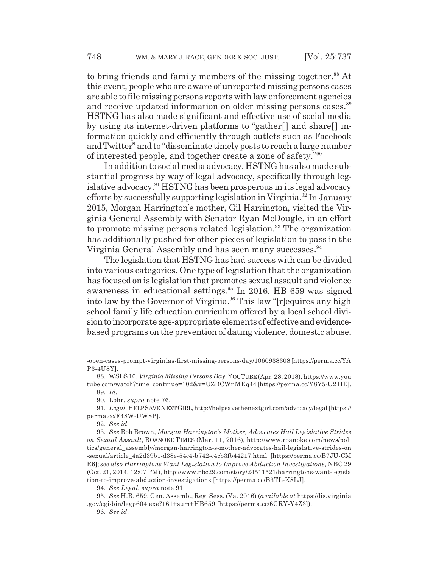to bring friends and family members of the missing together.<sup>88</sup> At this event, people who are aware of unreported missing persons cases are able to file missing persons reports with law enforcement agencies and receive updated information on older missing persons cases.<sup>89</sup> HSTNG has also made significant and effective use of social media by using its internet-driven platforms to "gather[] and share[] information quickly and efficiently through outlets such as Facebook and Twitter" and to "disseminate timely posts to reach a large number of interested people, and together create a zone of safety."90

In addition to social media advocacy, HSTNG has also made substantial progress by way of legal advocacy, specifically through legislative advocacy.<sup>91</sup> HSTNG has been prosperous in its legal advocacy efforts by successfully supporting legislation in Virginia.<sup>92</sup> In January 2015, Morgan Harrington's mother, Gil Harrington, visited the Virginia General Assembly with Senator Ryan McDougle, in an effort to promote missing persons related legislation.<sup>93</sup> The organization has additionally pushed for other pieces of legislation to pass in the Virginia General Assembly and has seen many successes.<sup>94</sup>

The legislation that HSTNG has had success with can be divided into various categories. One type of legislation that the organization has focused on is legislation that promotes sexual assault and violence awareness in educational settings.<sup>95</sup> In 2016, HB 659 was signed into law by the Governor of Virginia.<sup>96</sup> This law "[r]equires any high school family life education curriculum offered by a local school division to incorporate age-appropriate elements of effective and evidencebased programs on the prevention of dating violence, domestic abuse,

<sup>-</sup>open-cases-prompt-virginias-first-missing-persons-day/1060938308 [https://perma.cc/YA P3-4U8Y].

<sup>88.</sup> WSLS 10, *Virginia Missing Persons Day*, YOUTUBE (Apr. 28, 2018), https://www.you tube.com/watch?time\_continue=102&v=UZDCWnMEq44 [https://perma.cc/Y8Y5-U2 HE]. 89. *Id.*

<sup>90.</sup> Lohr, *supra* note 76.

<sup>91.</sup> *Legal*, HELP SAVE NEXT GIRL,http://helpsavethenextgirl.com/advocacy/legal [https:// perma.cc/F48W-UW8P].

<sup>92.</sup> *See id.*

<sup>93.</sup> *See* Bob Brown, *Morgan Harrington's Mother, Advocates Hail Legislative Strides on Sexual Assault*, ROANOKE TIMES (Mar. 11, 2016), http://www.roanoke.com/news/poli tics/general\_assembly/morgan-harrington-s-mother-advocates-hail-legislative-strides-on -sexual/article\_4a2d39b1-d38e-54c4-b742-c4cb3fb44217.html [https://perma.cc/B7JU-CM R6]; *see also Harringtons Want Legislation to Improve Abduction Investigations,* NBC 29 (Oct. 21, 2014, 12:07 PM), http://www.nbc29.com/story/24511521/harringtons-want-legisla tion-to-improve-abduction-investigations [https://perma.cc/B3TL-K8LJ].

<sup>94.</sup> *See Legal*, *supra* note 91.

<sup>95.</sup> *See* H.B. 659, Gen. Assemb., Reg. Sess. (Va. 2016) (*available at* https://lis.virginia .gov/cgi-bin/legp604.exe?161+sum+HB659 [https://perma.cc/6GRY-Y4Z3]).

<sup>96.</sup> *See id.*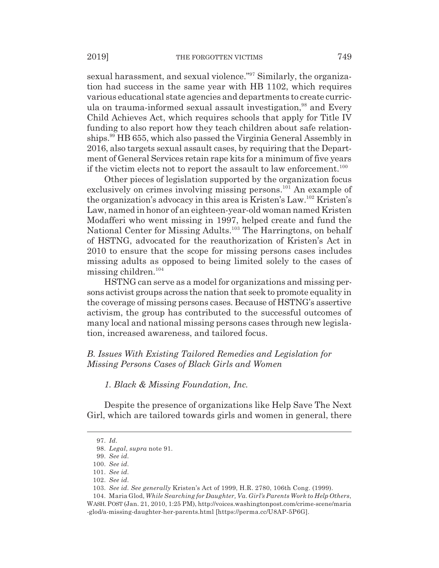sexual harassment, and sexual violence."97 Similarly, the organization had success in the same year with HB 1102, which requires various educational state agencies and departments to create curricula on trauma-informed sexual assault investigation,<sup>98</sup> and Every Child Achieves Act, which requires schools that apply for Title IV funding to also report how they teach children about safe relationships.<sup>99</sup> HB 655, which also passed the Virginia General Assembly in 2016, also targets sexual assault cases, by requiring that the Department of General Services retain rape kits for a minimum of five years if the victim elects not to report the assault to law enforcement.<sup>100</sup>

Other pieces of legislation supported by the organization focus exclusively on crimes involving missing persons.<sup>101</sup> An example of the organization's advocacy in this area is Kristen's Law.102 Kristen's Law, named in honor of an eighteen-year-old woman named Kristen Modafferi who went missing in 1997, helped create and fund the National Center for Missing Adults.<sup>103</sup> The Harringtons, on behalf of HSTNG, advocated for the reauthorization of Kristen's Act in 2010 to ensure that the scope for missing persons cases includes missing adults as opposed to being limited solely to the cases of missing children.104

HSTNG can serve as a model for organizations and missing persons activist groups across the nation that seek to promote equality in the coverage of missing persons cases. Because of HSTNG's assertive activism, the group has contributed to the successful outcomes of many local and national missing persons cases through new legislation, increased awareness, and tailored focus.

# *B. Issues With Existing Tailored Remedies and Legislation for Missing Persons Cases of Black Girls and Women*

*1. Black & Missing Foundation, Inc.*

Despite the presence of organizations like Help Save The Next Girl, which are tailored towards girls and women in general, there

<sup>97.</sup> *Id.*

<sup>98.</sup> *Legal*, *supra* note 91.

<sup>99.</sup> *See id.*

<sup>100.</sup> *See id.*

<sup>101.</sup> *See id.*

<sup>102.</sup> *See id.*

<sup>103.</sup> *See id. See generally* Kristen's Act of 1999, H.R. 2780, 106th Cong. (1999).

<sup>104.</sup> Maria Glod, *While Searching for Daughter, Va. Girl's Parents Work to Help Others*, WASH. POST (Jan. 21, 2010, 1:25 PM), http://voices.washingtonpost.com/crime-scene/maria -glod/a-missing-daughter-her-parents.html [https://perma.cc/U8AP-5P6G].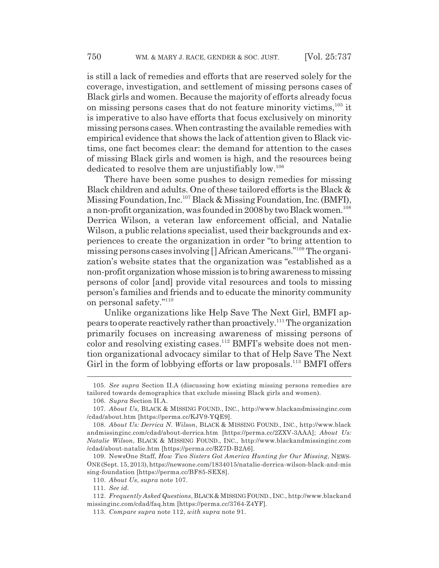is still a lack of remedies and efforts that are reserved solely for the coverage, investigation, and settlement of missing persons cases of Black girls and women. Because the majority of efforts already focus on missing persons cases that do not feature minority victims,  $105$  it is imperative to also have efforts that focus exclusively on minority missing persons cases. When contrasting the available remedies with empirical evidence that shows the lack of attention given to Black victims, one fact becomes clear: the demand for attention to the cases of missing Black girls and women is high, and the resources being dedicated to resolve them are unjustifiably low.<sup>106</sup>

There have been some pushes to design remedies for missing Black children and adults. One of these tailored efforts is the Black & Missing Foundation, Inc.107 Black & Missing Foundation, Inc. (BMFI), a non-profit organization, was founded in 2008 by two Black women.<sup>108</sup> Derrica Wilson, a veteran law enforcement official, and Natalie Wilson, a public relations specialist, used their backgrounds and experiences to create the organization in order "to bring attention to missing persons cases involving [] African Americans."109 The organization's website states that the organization was "established as a non-profit organization whose mission is to bring awareness to missing persons of color [and] provide vital resources and tools to missing person's families and friends and to educate the minority community on personal safety."110

Unlike organizations like Help Save The Next Girl, BMFI appears to operate reactively rather than proactively.111 The organization primarily focuses on increasing awareness of missing persons of color and resolving existing cases.<sup>112</sup> BMFI's website does not mention organizational advocacy similar to that of Help Save The Next Girl in the form of lobbying efforts or law proposals.<sup>113</sup> BMFI offers

<sup>105.</sup> *See supra* Section II.A (discussing how existing missing persons remedies are tailored towards demographics that exclude missing Black girls and women).

<sup>106.</sup> *Supra* Section II.A.

<sup>107.</sup> *About Us*, BLACK & MISSING FOUND., INC., http://www.blackandmissinginc.com /cdad/about.htm [https://perma.cc/KJV9-YQE9].

<sup>108.</sup> *About Us: Derrica N. Wilson*, BLACK & MISSING FOUND., INC., http://www.black andmissinginc.com/cdad/about-derrica.htm [https://perma.cc/2ZXV-3AAA]; *About Us: Natalie Wilson*, BLACK & MISSING FOUND., INC., http://www.blackandmissinginc.com /cdad/about-natalie.htm [https://perma.cc/RZ7D-B2A6].

<sup>109.</sup> NewsOne Staff, *How Two Sisters Got America Hunting for Our Missing*, NEWS-ONE (Sept. 15, 2013), https://newsone.com/1834015/natalie-derrica-wilson-black-and-mis sing-foundation [https://perma.cc/BF85-SEX8].

<sup>110.</sup> *About Us*, *supra* note 107.

<sup>111.</sup> *See id.*

<sup>112.</sup> *Frequently Asked Questions*, BLACK & MISSING FOUND., INC., http://www.blackand missinginc.com/cdad/faq.htm [https://perma.cc/3764-Z4YF].

<sup>113.</sup> *Compare supra* note 112, *with supra* note 91.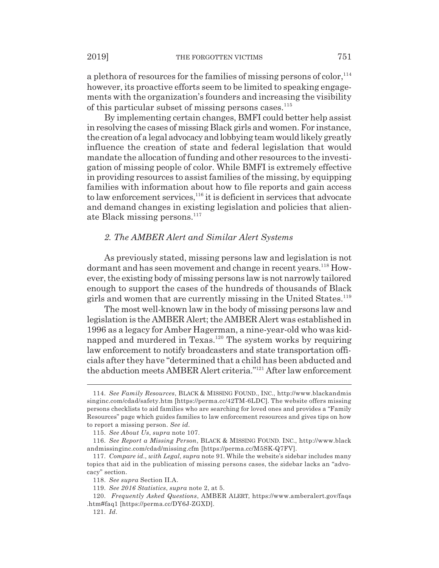a plethora of resources for the families of missing persons of color,<sup>114</sup> however, its proactive efforts seem to be limited to speaking engagements with the organization's founders and increasing the visibility of this particular subset of missing persons cases. $115$ 

By implementing certain changes, BMFI could better help assist in resolving the cases of missing Black girls and women. For instance, the creation of a legal advocacy and lobbying team would likely greatly influence the creation of state and federal legislation that would mandate the allocation of funding and other resources to the investigation of missing people of color. While BMFI is extremely effective in providing resources to assist families of the missing, by equipping families with information about how to file reports and gain access to law enforcement services,<sup>116</sup> it is deficient in services that advocate and demand changes in existing legislation and policies that alienate Black missing persons.<sup>117</sup>

## *2. The AMBER Alert and Similar Alert Systems*

As previously stated, missing persons law and legislation is not dormant and has seen movement and change in recent years.<sup>118</sup> However, the existing body of missing persons law is not narrowly tailored enough to support the cases of the hundreds of thousands of Black girls and women that are currently missing in the United States.<sup>119</sup>

The most well-known law in the body of missing persons law and legislation is the AMBER Alert; the AMBER Alert was established in 1996 as a legacy for Amber Hagerman, a nine-year-old who was kidnapped and murdered in Texas.<sup>120</sup> The system works by requiring law enforcement to notify broadcasters and state transportation officials after they have "determined that a child has been abducted and the abduction meets AMBER Alert criteria."121 After law enforcement

<sup>114.</sup> *See Family Resources*, BLACK & MISSING FOUND., INC., http://www.blackandmis singinc.com/cdad/safety.htm [https://perma.cc/42TM-6LDC]. The website offers missing persons checklists to aid families who are searching for loved ones and provides a "Family Resources" page which guides families to law enforcement resources and gives tips on how to report a missing person. *See id.*

<sup>115.</sup> *See About Us*, *supra* note 107.

<sup>116.</sup> *See Report a Missing Person*, BLACK & MISSING FOUND. INC., http://www.black andmissinginc.com/cdad/missing.cfm [https://perma.cc/M5SK-Q7FV].

<sup>117.</sup> *Compare id.*, *with Legal*, *supra* note 91. While the website's sidebar includes many topics that aid in the publication of missing persons cases, the sidebar lacks an "advocacy" section.

<sup>118.</sup> *See supra* Section II.A.

<sup>119.</sup> *See 2016 Statistics*, *supra* note 2, at 5.

<sup>120.</sup> *Frequently Asked Questions*, AMBER ALERT, https://www.amberalert.gov/faqs .htm#faq1 [https://perma.cc/DY6J-ZGXD].

<sup>121.</sup> *Id.*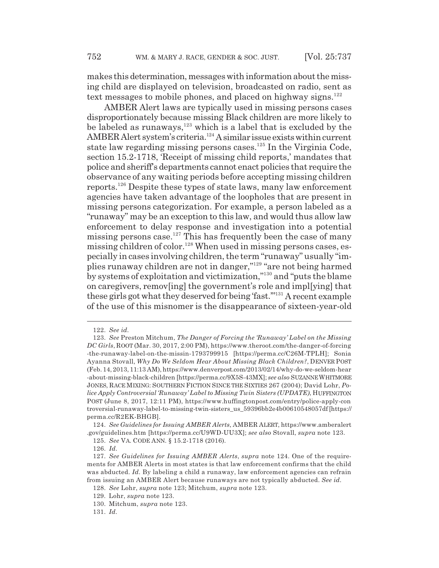makes this determination, messages with information about the missing child are displayed on television, broadcasted on radio, sent as text messages to mobile phones, and placed on highway signs. $122$ 

AMBER Alert laws are typically used in missing persons cases disproportionately because missing Black children are more likely to be labeled as runaways,<sup>123</sup> which is a label that is excluded by the AMBER Alert system's criteria.<sup>124</sup> A similar issue exists within current state law regarding missing persons cases.<sup>125</sup> In the Virginia Code, section 15.2-1718, 'Receipt of missing child reports,' mandates that police and sheriff's departments cannot enact policies that require the observance of any waiting periods before accepting missing children reports.126 Despite these types of state laws, many law enforcement agencies have taken advantage of the loopholes that are present in missing persons categorization. For example, a person labeled as a "runaway" may be an exception to this law, and would thus allow law enforcement to delay response and investigation into a potential missing persons case.<sup>127</sup> This has frequently been the case of many missing children of color.<sup>128</sup> When used in missing persons cases, especially in cases involving children, the term "runaway" usually "implies runaway children are not in danger,"129 "are not being harmed by systems of exploitation and victimization,"130 and "puts the blame on caregivers, remov[ing] the government's role and impl[ying] that these girls got what they deserved for being 'fast.'"131 A recent example of the use of this misnomer is the disappearance of sixteen-year-old

<sup>122.</sup> *See id.*

<sup>123.</sup> *See* Preston Mitchum, *The Danger of Forcing the 'Runaway' Label on the Missing DC Girls*, ROOT (Mar. 30, 2017, 2:00 PM), https://www.theroot.com/the-danger-of-forcing -the-runaway-label-on-the-missin-1793799915 [https://perma.cc/C26M-TPLH]; Sonia Ayanna Stovall, *Why Do We Seldom Hear About Missing Black Children?*, DENVER POST (Feb. 14, 2013, 11:13 AM), https://www.denverpost.com/2013/02/14/why-do-we-seldom-hear -about-missing-black-children [https://perma.cc/9X5S-43MX]; *see also* SUZANNE WHITMORE JONES, RACE MIXING: SOUTHERN FICTION SINCE THE SIXTIES 267 (2004); David Lohr, *Police Apply Controversial 'Runaway' Label to Missing Twin Sisters (UPDATE)*, HUFFINGTON POST (June 8, 2017, 12:11 PM), https://www.huffingtonpost.com/entry/police-apply-con troversial-runaway-label-to-missing-twin-sisters\_us\_59396bb2e4b00610548057df [https:// perma.cc/R2EK-BHGB].

<sup>124.</sup> *See Guidelines for Issuing AMBER Alerts*, AMBER ALERT, https://www.amberalert .gov/guidelines.htm [https://perma.cc/U9WD-UU3X]; *see also* Stovall, *supra* note 123.

<sup>125.</sup> *See* VA. CODE ANN. § 15.2-1718 (2016).

<sup>126.</sup> *Id.*

<sup>127.</sup> *See Guidelines for Issuing AMBER Alerts*, *supra* note 124. One of the requirements for AMBER Alerts in most states is that law enforcement confirms that the child was abducted. *Id.* By labeling a child a runaway, law enforcement agencies can refrain from issuing an AMBER Alert because runaways are not typically abducted. *See id.*

<sup>128.</sup> *See* Lohr, *supra* note 123; Mitchum, *supra* note 123.

<sup>129.</sup> Lohr, *supra* note 123.

<sup>130.</sup> Mitchum, *supra* note 123.

<sup>131.</sup> *Id.*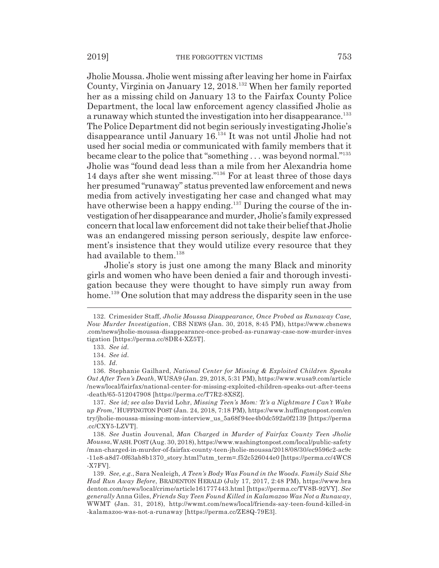Jholie Moussa. Jholie went missing after leaving her home in Fairfax County, Virginia on January 12, 2018.132 When her family reported her as a missing child on January 13 to the Fairfax County Police Department, the local law enforcement agency classified Jholie as a runaway which stunted the investigation into her disappearance.<sup>133</sup> The Police Department did not begin seriously investigating Jholie's disappearance until January 16.134 It was not until Jholie had not used her social media or communicated with family members that it became clear to the police that "something . . . was beyond normal."135 Jholie was "found dead less than a mile from her Alexandria home 14 days after she went missing."136 For at least three of those days her presumed "runaway" status prevented law enforcement and news media from actively investigating her case and changed what may have otherwise been a happy ending.<sup>137</sup> During the course of the investigation of her disappearance and murder, Jholie's family expressed concern that local law enforcement did not take their belief that Jholie was an endangered missing person seriously, despite law enforcement's insistence that they would utilize every resource that they had available to them.<sup>138</sup>

Jholie's story is just one among the many Black and minority girls and women who have been denied a fair and thorough investigation because they were thought to have simply run away from home.<sup>139</sup> One solution that may address the disparity seen in the use

<sup>132.</sup> Crimesider Staff, *Jholie Moussa Disappearance, Once Probed as Runaway Case, Now Murder Investigation*, CBS NEWS (Jan. 30, 2018, 8:45 PM), https://www.cbsnews .com/news/jholie-moussa-disappearance-once-probed-as-runaway-case-now-murder-inves tigation [https://perma.cc/8DR4-XZ5T].

<sup>133.</sup> *See id.*

<sup>134.</sup> *See id.*

<sup>135.</sup> *Id.*

<sup>136.</sup> Stephanie Gailhard, *National Center for Missing & Exploited Children Speaks Out After Teen's Death*, WUSA9 (Jan. 29, 2018, 5:31 PM), https://www.wusa9.com/article /news/local/fairfax/national-center-for-missing-exploited-children-speaks-out-after-teens -death/65-512047908 [https://perma.cc/T7R2-8XSZ].

<sup>137.</sup> *See id; see also* David Lohr, *Missing Teen's Mom: 'It's a Nightmare I Can't Wake up From,'* HUFFINGTON POST (Jan. 24, 2018, 7:18 PM), https://www.huffingtonpost.com/en try/jholie-moussa-missing-mom-interview\_us\_5a68f 94ee4b0dc592a0f2139 [https://perma .cc/CXY5-LZVT].

<sup>138.</sup> *See* Justin Jouvenal, *Man Charged in Murder of Fairfax County Teen Jholie Moussa*,WASH.POST (Aug. 30, 2018), https://www.washingtonpost.com/local/public-safety /man-charged-in-murder-of-fairfax-county-teen-jholie-moussa/2018/08/30/ec9596c2-ac9c -11e8-a8d7-0f63ab8b1370\_story.html?utm\_term=.f52c526044e0 [https://perma.cc/4WCS -X7FV].

<sup>139.</sup> *See, e.g.*, Sara Nealeigh*, A Teen's Body Was Found in the Woods. Family Said She Had Run Away Before*, BRADENTON HERALD (July 17, 2017, 2:48 PM), https://www.bra denton.com/news/local/crime/article161777443.html [https://perma.cc/TV8B-92VY]. *See generally* Anna Giles, *Friends Say Teen Found Killed in Kalamazoo Was Not a Runaway*, WWMT (Jan. 31, 2018), http://wwmt.com/news/local/friends-say-teen-found-killed-in -kalamazoo-was-not-a-runaway [https://perma.cc/ZE8Q-79E3].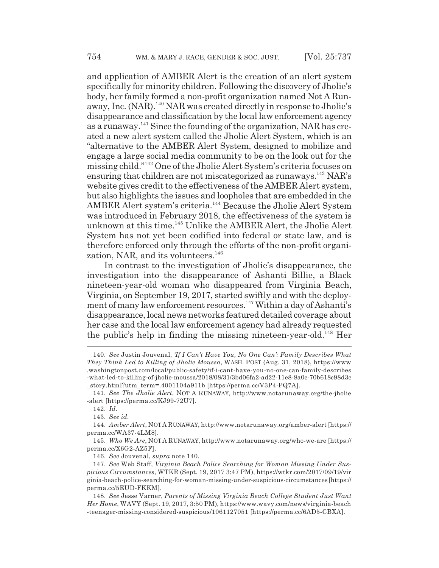and application of AMBER Alert is the creation of an alert system specifically for minority children. Following the discovery of Jholie's body, her family formed a non-profit organization named Not A Runaway, Inc. (NAR).140 NAR was created directly in response to Jholie's disappearance and classification by the local law enforcement agency as a runaway.<sup>141</sup> Since the founding of the organization, NAR has created a new alert system called the Jholie Alert System, which is an "alternative to the AMBER Alert System, designed to mobilize and engage a large social media community to be on the look out for the missing child."142 One of the Jholie Alert System's criteria focuses on ensuring that children are not miscategorized as runaways.143 NAR's website gives credit to the effectiveness of the AMBER Alert system, but also highlights the issues and loopholes that are embedded in the AMBER Alert system's criteria.<sup>144</sup> Because the Jholie Alert System was introduced in February 2018, the effectiveness of the system is unknown at this time.<sup>145</sup> Unlike the AMBER Alert, the Jholie Alert System has not yet been codified into federal or state law, and is therefore enforced only through the efforts of the non-profit organization, NAR, and its volunteers.<sup>146</sup>

In contrast to the investigation of Jholie's disappearance, the investigation into the disappearance of Ashanti Billie, a Black nineteen-year-old woman who disappeared from Virginia Beach, Virginia, on September 19, 2017, started swiftly and with the deployment of many law enforcement resources.<sup>147</sup> Within a day of Ashanti's disappearance, local news networks featured detailed coverage about her case and the local law enforcement agency had already requested the public's help in finding the missing nineteen-year-old.148 Her

<sup>140.</sup> *See* Justin Jouvenal, *'If I Can't Have You, No One Can': Family Describes What They Think Led to Killing of Jholie Moussa*, WASH. POST (Aug. 31, 2018), https://www .washingtonpost.com/local/public-safety/if-i-cant-have-you-no-one-can-family-describes -what-led-to-killing-of-jholie-moussa/2018/08/31/3bd06fa2-ad22-11e8-8a0c-70b618c98d3c \_story.html?utm\_term=.4001104a911b [https://perma.cc/V3P4-PQ7A].

<sup>141.</sup> *See The Jholie Alert*, NOT A RUNAWAY, http://www.notarunaway.org/the-jholie -alert [https://perma.cc/KJ99-72U7].

<sup>142.</sup> *Id.*

<sup>143.</sup> *See id.*

<sup>144.</sup> *Amber Alert*, NOT A RUNAWAY, http://www.notarunaway.org/amber-alert [https:// perma.cc/WA37-4LM8].

<sup>145.</sup> *Who We Are*, NOT A RUNAWAY, http://www.notarunaway.org/who-we-are [https:// perma.cc/X6G2-AZ5F].

<sup>146.</sup> *See* Jouvenal, *supra* note 140.

<sup>147.</sup> *See* Web Staff, *Virginia Beach Police Searching for Woman Missing Under Suspicious Circumstances*, WTKR (Sept. 19, 2017 3:47 PM), https://wtkr.com/2017/09/19/vir ginia-beach-police-searching-for-woman-missing-under-suspicious-circumstances [https:// perma.cc/5EUD-FKKM].

<sup>148.</sup> *See* Jesse Varner, *Parents of Missing Virginia Beach College Student Just Want Her Home*, WAVY (Sept. 19, 2017, 3:50 PM), https://www.wavy.com/news/virginia-beach -teenager-missing-considered-suspicious/1061127051 [https://perma.cc/6AD5-CBXA].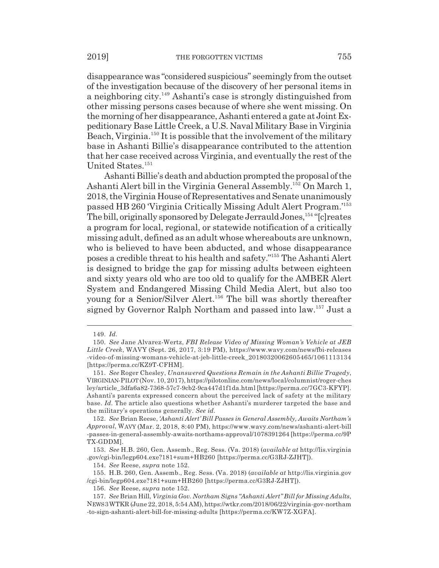disappearance was "considered suspicious" seemingly from the outset of the investigation because of the discovery of her personal items in a neighboring city.149 Ashanti's case is strongly distinguished from other missing persons cases because of where she went missing. On the morning of her disappearance, Ashanti entered a gate at Joint Expeditionary Base Little Creek, a U.S. Naval Military Base in Virginia Beach, Virginia.<sup>150</sup> It is possible that the involvement of the military base in Ashanti Billie's disappearance contributed to the attention that her case received across Virginia, and eventually the rest of the United States.<sup>151</sup>

Ashanti Billie's death and abduction prompted the proposal of the Ashanti Alert bill in the Virginia General Assembly.152 On March 1, 2018, the Virginia House of Representatives and Senate unanimously passed HB 260 'Virginia Critically Missing Adult Alert Program.'153 The bill, originally sponsored by Delegate Jerrauld Jones,<sup>154</sup> "[c]reates a program for local, regional, or statewide notification of a critically missing adult, defined as an adult whose whereabouts are unknown, who is believed to have been abducted, and whose disappearance poses a credible threat to his health and safety."155 The Ashanti Alert is designed to bridge the gap for missing adults between eighteen and sixty years old who are too old to qualify for the AMBER Alert System and Endangered Missing Child Media Alert, but also too young for a Senior/Silver Alert.156 The bill was shortly thereafter signed by Governor Ralph Northam and passed into law.157 Just a

153. *See* H.B. 260, Gen. Assemb., Reg. Sess. (Va. 2018) (*available at* http://lis.virginia .gov/cgi-bin/legp604.exe?181+sum+HB260 [https://perma.cc/G3RJ-ZJHT]).

154. *See* Reese, *supra* note 152.

155. H.B. 260, Gen. Assemb., Reg. Sess. (Va. 2018) (*available at* http://lis.virginia.gov /cgi-bin/legp604.exe?181+sum+HB260 [https://perma.cc/G3RJ-ZJHT]).

156. *See* Reese, *supra* note 152.

<sup>149.</sup> *Id.*

<sup>150.</sup> *See* Jane Alvarez-Wertz, *FBI Release Video of Missing Woman's Vehicle at JEB Little Creek*, WAVY (Sept. 26, 2017, 3:19 PM), https://www.wavy.com/news/fbi-releases -video-of-missing-womans-vehicle-at-jeb-little-creek\_20180320062605465/1061113134 [https://perma.cc/KZ9T-CFHM].

<sup>151.</sup> *See* Roger Chesley, *Unanswered Questions Remain in the Ashanti Billie Tragedy*, VIRGINIAN-PILOT (Nov. 10, 2017), https://pilotonline.com/news/local/columnist/roger-ches ley/article\_3dfa6a82-7368-57c7-9cb2-9ca447d1f1da.html [https://perma.cc/7GC3-KFYP]. Ashanti's parents expressed concern about the perceived lack of safety at the military base. *Id.* The article also questions whether Ashanti's murderer targeted the base and the military's operations generally. *See id.*

<sup>152.</sup> *See* Brian Reese, *'Ashanti Alert' Bill Passes in General Assembly, Awaits Northam's Approval*, WAVY (Mar. 2, 2018, 8:40 PM), https://www.wavy.com/news/ashanti-alert-bill -passes-in-general-assembly-awaits-northams-approval/1078391264 [https://perma.cc/9P TX-GDDM].

<sup>157.</sup> *See* Brian Hill, *Virginia Gov. Northam Signs "Ashanti Alert" Bill for Missing Adults*, NEWS 3WTKR (June 22, 2018, 5:54 AM), https://wtkr.com/2018/06/22/virginia-gov-northam -to-sign-ashanti-alert-bill-for-missing-adults [https://perma.cc/KW7Z-XGFA].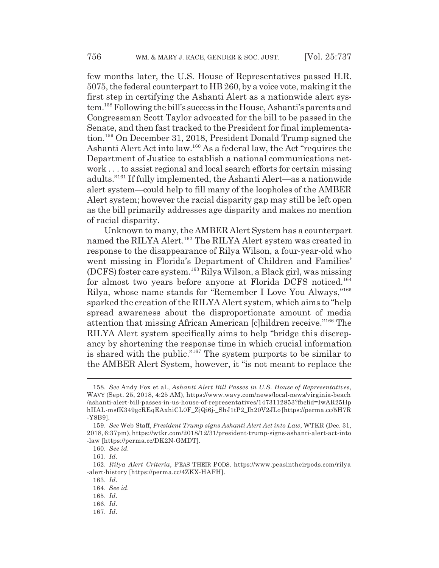few months later, the U.S. House of Representatives passed H.R. 5075, the federal counterpart to HB 260, by a voice vote, making it the first step in certifying the Ashanti Alert as a nationwide alert system.158 Following the bill's success in the House, Ashanti's parents and Congressman Scott Taylor advocated for the bill to be passed in the Senate, and then fast tracked to the President for final implementation.159 On December 31, 2018, President Donald Trump signed the Ashanti Alert Act into law.160 As a federal law, the Act "requires the Department of Justice to establish a national communications network . . . to assist regional and local search efforts for certain missing adults."161 If fully implemented, the Ashanti Alert—as a nationwide alert system—could help to fill many of the loopholes of the AMBER Alert system; however the racial disparity gap may still be left open as the bill primarily addresses age disparity and makes no mention of racial disparity.

Unknown to many, the AMBER Alert System has a counterpart named the RILYA Alert.<sup>162</sup> The RILYA Alert system was created in response to the disappearance of Rilya Wilson, a four-year-old who went missing in Florida's Department of Children and Families' (DCFS) foster care system.163 Rilya Wilson, a Black girl, was missing for almost two years before anyone at Florida DCFS noticed.<sup>164</sup> Rilya, whose name stands for "Remember I Love You Always,"165 sparked the creation of the RILYA Alert system, which aims to "help spread awareness about the disproportionate amount of media attention that missing African American [c]hildren receive."166 The RILYA Alert system specifically aims to help "bridge this discrepancy by shortening the response time in which crucial information is shared with the public."167 The system purports to be similar to the AMBER Alert System, however, it "is not meant to replace the

<sup>158.</sup> *See* Andy Fox et al., *Ashanti Alert Bill Passes in U.S. House of Representatives*, WAVY (Sept. 25, 2018, 4:25 AM), https://www.wavy.com/news/local-news/virginia-beach /ashanti-alert-bill-passes-in-us-house-of-representatives/1473112853?fbclid=IwAR25Hp hIIAL-msfK349gcREqEAxhiCL0F\_ZjQi6j-\_ShJ1tP2\_Ih20V2JLo [https://perma.cc/5H7R -Y8B9].

<sup>159.</sup> *See* Web Staff, *President Trump signs Ashanti Alert Act into Law*, WTKR (Dec. 31, 2018, 6:37pm), https://wtkr.com/2018/12/31/president-trump-signs-ashanti-alert-act-into -law [https://perma.cc/DK2N-GMDT].

<sup>160.</sup> *See id.*

<sup>161.</sup> *Id.*

<sup>162.</sup> *Rilya Alert Criteria*, PEAS THEIR PODS, https://www.peasintheirpods.com/rilya -alert-history [https://perma.cc/4ZKX-HAFH].

<sup>163.</sup> *Id.*

<sup>164.</sup> *See id.*

<sup>165.</sup> *Id.*

<sup>166.</sup> *Id.*

<sup>167.</sup> *Id.*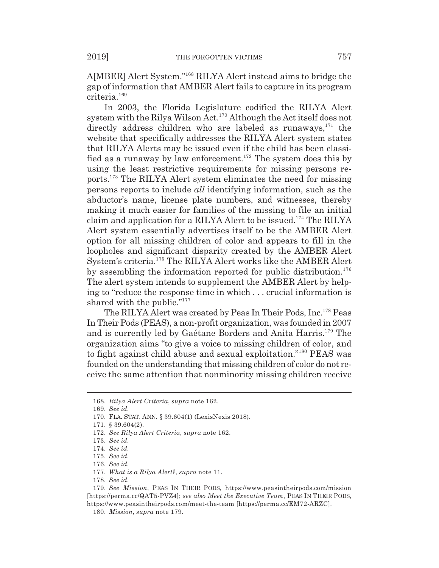A[MBER] Alert System."168 RILYA Alert instead aims to bridge the gap of information that AMBER Alert fails to capture in its program criteria.169

In 2003, the Florida Legislature codified the RILYA Alert system with the Rilya Wilson Act.170 Although the Act itself does not directly address children who are labeled as runaways, $171$  the website that specifically addresses the RILYA Alert system states that RILYA Alerts may be issued even if the child has been classified as a runaway by law enforcement.<sup>172</sup> The system does this by using the least restrictive requirements for missing persons reports.173 The RILYA Alert system eliminates the need for missing persons reports to include *all* identifying information, such as the abductor's name, license plate numbers, and witnesses, thereby making it much easier for families of the missing to file an initial claim and application for a RILYA Alert to be issued.<sup>174</sup> The RILYA Alert system essentially advertises itself to be the AMBER Alert option for all missing children of color and appears to fill in the loopholes and significant disparity created by the AMBER Alert System's criteria.175 The RILYA Alert works like the AMBER Alert by assembling the information reported for public distribution.<sup>176</sup> The alert system intends to supplement the AMBER Alert by helping to "reduce the response time in which . . . crucial information is shared with the public."<sup>177</sup>

The RILYA Alert was created by Peas In Their Pods, Inc.178 Peas In Their Pods (PEAS), a non-profit organization, was founded in 2007 and is currently led by Gaétane Borders and Anita Harris.179 The organization aims "to give a voice to missing children of color, and to fight against child abuse and sexual exploitation."180 PEAS was founded on the understanding that missing children of color do not receive the same attention that nonminority missing children receive

178. *See id.*

<sup>168.</sup> *Rilya Alert Criteria*, *supra* note 162.

<sup>169.</sup> *See id.*

<sup>170.</sup> FLA. STAT. ANN. § 39.604(1) (LexisNexis 2018).

<sup>171. § 39.604(2).</sup>

<sup>172.</sup> *See Rilya Alert Criteria*, *supra* note 162.

<sup>173.</sup> *See id.*

<sup>174.</sup> *See id.*

<sup>175.</sup> *See id.*

<sup>176.</sup> *See id.*

<sup>177.</sup> *What is a Rilya Alert?*, *supra* note 11.

<sup>179.</sup> *See Mission*, PEAS IN THEIR PODS, https://www.peasintheirpods.com/mission [https://perma.cc/QAT5-PVZ4]; *see also Meet the Executive Team*, PEAS IN THEIR PODS, https://www.peasintheirpods.com/meet-the-team [https://perma.cc/EM72-ARZC].

<sup>180.</sup> *Mission*, *supra* note 179.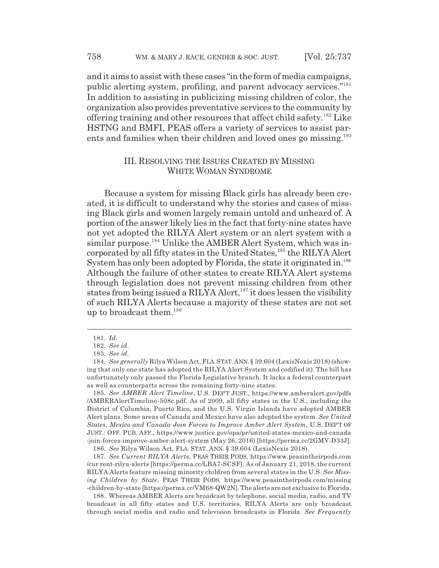and it aims to assist with these cases "in the form of media campaigns, public alerting system, profiling, and parent advocacy services."181 In addition to assisting in publicizing missing children of color, the organization also provides preventative services to the community by offering training and other resources that affect child safety.182 Like HSTNG and BMFI, PEAS offers a variety of services to assist parents and families when their children and loved ones go missing.<sup>183</sup>

## III. RESOLVING THE ISSUES CREATED BY MISSING WHITE WOMAN SYNDROME

Because a system for missing Black girls has already been created, it is difficult to understand why the stories and cases of missing Black girls and women largely remain untold and unheard of. A portion of the answer likely lies in the fact that forty-nine states have not yet adopted the RILYA Alert system or an alert system with a similar purpose.<sup>184</sup> Unlike the AMBER Alert System, which was incorporated by all fifty states in the United States,<sup>185</sup> the RILYA Alert System has only been adopted by Florida, the state it originated in.<sup>186</sup> Although the failure of other states to create RILYA Alert systems through legislation does not prevent missing children from other states from being issued a RILYA Alert,<sup>187</sup> it does lessen the visibility of such RILYA Alerts because a majority of these states are not set up to broadcast them.188

185. *See AMBER Alert Timeline*, U.S. DEP'T JUST., https://www.amberalert.gov/pdfs /AMBERAlertTimeline-508c.pdf. As of 2009, all fifty states in the U.S., including the District of Columbia, Puerto Rico, and the U.S. Virgin Islands have adopted AMBER Alert plans. Some areas of Canada and Mexico have also adopted the system. *See United States, Mexico and Canada Join Forces to Improve Amber Alert System*, U.S. DEP'T OF JUST.: OFF. PUB. AFF., https://www.justice.gov/opa/pr/united-states-mexico-and-canada -join-forces-improve-amber-alert-system (May 26, 2016) [https://perma.cc/2GMV-D33J].

186. *See* Rilya Wilson Act, FLA. STAT. ANN. § 39.604 (LexisNexis 2018).

187. *See Current RILYA Alerts*, PEAS THEIR PODS, https://www.peasintheirpods.com /cur rent-rilya-alerts [https://perma.cc/LBA7-SCSF]. As of January 21, 2018, the current RILYA Alerts feature missing minority children from several states in the U.S. *See Missing Children by State*, PEAS THEIR PODS, https://www.peasintheirpods.com/missing -children-by-state [https://perma.cc/VM68-QW2N]. The alerts are not exclusive to Florida.

188. Whereas AMBER Alerts are broadcast by telephone, social media, radio, and TV broadcast in all fifty states and U.S. territories, RILYA Alerts are only broadcast through social media and radio and television broadcasts in Florida. *See Frequently*

<sup>181.</sup> *Id.*

<sup>182.</sup> *See id.*

<sup>183.</sup> *See id.*

<sup>184.</sup> *See generally* Rilya Wilson Act, FLA.STAT.ANN. § 39.604 (LexisNexis 2018) (showing that only one state has adopted the RILYA Alert System and codified it). The bill has unfortunately only passed the Florida Legislative branch. It lacks a federal counterpart as well as counterparts across the remaining forty-nine states.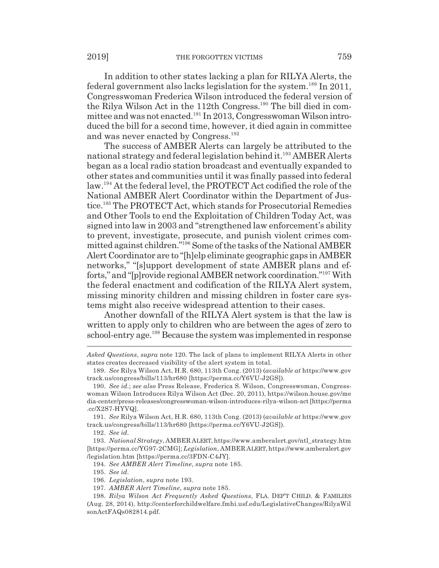In addition to other states lacking a plan for RILYA Alerts, the federal government also lacks legislation for the system.189 In 2011, Congresswoman Frederica Wilson introduced the federal version of the Rilya Wilson Act in the 112th Congress.<sup>190</sup> The bill died in committee and was not enacted.191 In 2013, Congresswoman Wilson introduced the bill for a second time, however, it died again in committee and was never enacted by Congress.<sup>192</sup>

The success of AMBER Alerts can largely be attributed to the national strategy and federal legislation behind it.193 AMBER Alerts began as a local radio station broadcast and eventually expanded to other states and communities until it was finally passed into federal law.<sup>194</sup> At the federal level, the PROTECT Act codified the role of the National AMBER Alert Coordinator within the Department of Justice.195 The PROTECT Act, which stands for Prosecutorial Remedies and Other Tools to end the Exploitation of Children Today Act, was signed into law in 2003 and "strengthened law enforcement's ability to prevent, investigate, prosecute, and punish violent crimes committed against children."196 Some of the tasks of the National AMBER Alert Coordinator are to "[h]elp eliminate geographic gaps in AMBER networks," "[s]upport development of state AMBER plans and efforts," and "[p]rovide regional AMBER network coordination."197 With the federal enactment and codification of the RILYA Alert system, missing minority children and missing children in foster care systems might also receive widespread attention to their cases.

Another downfall of the RILYA Alert system is that the law is written to apply only to children who are between the ages of zero to school-entry age.<sup>198</sup> Because the system was implemented in response

*Asked Questions*, *supra* note 120. The lack of plans to implement RILYA Alerts in other states creates decreased visibility of the alert system in total.

191. *See* Rilya Wilson Act, H.R. 680, 113th Cong. (2013) (*available at* https://www.gov track.us/congress/bills/113/hr680 [https://perma.cc/Y6VU-J2GS]).

192. *See id.*

193. *National Strategy*, AMBER ALERT, https://www.amberalert.gov/ntl\_strategy.htm [https://perma.cc/YG97-2CMG]; *Legislation*, AMBER ALERT, https://www.amberalert.gov /legislation.htm [https://perma.cc/3FDN-C4JY].

194. *See AMBER Alert Timeline*, *supra* note 185.

195. *See id.*

197. *AMBER Alert Timeline*, *supra* note 185.

<sup>189.</sup> *See* Rilya Wilson Act, H.R. 680, 113th Cong. (2013) (*available at* https://www.gov track.us/congress/bills/113/hr680 [https://perma.cc/Y6VU-J2GS]).

<sup>190.</sup> *See id.*; *see also* Press Release, Frederica S. Wilson, Congresswoman, Congresswoman Wilson Introduces Rilya Wilson Act (Dec. 20, 2011), https://wilson.house.gov/me dia-center/press-releases/congresswoman-wilson-introduces-rilya-wilson-act [https://perma .cc/X2S7-HYVQ].

<sup>196.</sup> *Legislation*, *supra* note 193.

<sup>198.</sup> *Rilya Wilson Act Frequently Asked Questions*, FLA. DEP'T CHILD. & FAMILIES (Aug. 28, 2014), http://centerforchildwelfare.fmhi.usf.edu/LegislativeChanges/RilyaWil sonActFAQs082814.pdf.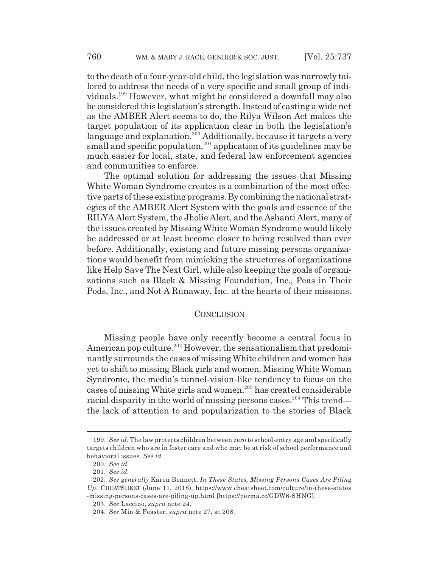to the death of a four-year-old child, the legislation was narrowly tailored to address the needs of a very specific and small group of individuals.199 However, what might be considered a downfall may also be considered this legislation's strength. Instead of casting a wide net as the AMBER Alert seems to do, the Rilya Wilson Act makes the target population of its application clear in both the legislation's language and explanation.<sup>200</sup> Additionally, because it targets a very small and specific population,<sup>201</sup> application of its guidelines may be much easier for local, state, and federal law enforcement agencies and communities to enforce.

The optimal solution for addressing the issues that Missing White Woman Syndrome creates is a combination of the most effective parts of these existing programs. By combining the national strategies of the AMBER Alert System with the goals and essence of the RILYA Alert System, the Jholie Alert, and the Ashanti Alert, many of the issues created by Missing White Woman Syndrome would likely be addressed or at least become closer to being resolved than ever before. Additionally, existing and future missing persons organizations would benefit from mimicking the structures of organizations like Help Save The Next Girl, while also keeping the goals of organizations such as Black & Missing Foundation, Inc., Peas in Their Pods, Inc., and Not A Runaway, Inc. at the hearts of their missions.

#### CONCLUSION

Missing people have only recently become a central focus in American pop culture.<sup>202</sup> However, the sensationalism that predominantly surrounds the cases of missing White children and women has yet to shift to missing Black girls and women. Missing White Woman Syndrome, the media's tunnel-vision-like tendency to focus on the cases of missing White girls and women,<sup>203</sup> has created considerable racial disparity in the world of missing persons cases.<sup>204</sup> This trend the lack of attention to and popularization to the stories of Black

<sup>199.</sup> *See id.* The law protects children between zero to school-entry age and specifically targets children who are in foster care and who may be at risk of school performance and behavioral issues. *See id.*

<sup>200.</sup> *See id.*

<sup>201.</sup> *See id.*

<sup>202.</sup> *See generally* Karen Bennett, *In These States, Missing Persons Cases Are Piling Up*, CHEATSHEET (June 11, 2018), https://www.cheatsheet.com/culture/in-these-states -missing-persons-cases-are-piling-up.html [https://perma.cc/GDW6-SHNG].

<sup>203.</sup> *See* Laccino, *supra* note 24.

<sup>204.</sup> *See* Min & Feaster*, supra* note 27, at 208.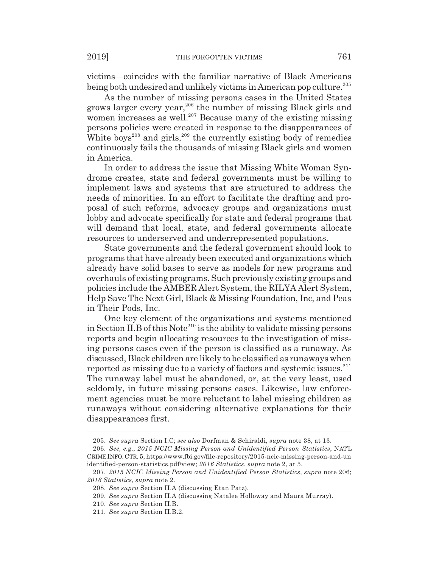victims—coincides with the familiar narrative of Black Americans being both undesired and unlikely victims in American pop culture.<sup>205</sup>

As the number of missing persons cases in the United States grows larger every year,<sup>206</sup> the number of missing Black girls and women increases as well.<sup>207</sup> Because many of the existing missing persons policies were created in response to the disappearances of White boys<sup>208</sup> and girls,<sup>209</sup> the currently existing body of remedies continuously fails the thousands of missing Black girls and women in America.

In order to address the issue that Missing White Woman Syndrome creates, state and federal governments must be willing to implement laws and systems that are structured to address the needs of minorities. In an effort to facilitate the drafting and proposal of such reforms, advocacy groups and organizations must lobby and advocate specifically for state and federal programs that will demand that local, state, and federal governments allocate resources to underserved and underrepresented populations.

State governments and the federal government should look to programs that have already been executed and organizations which already have solid bases to serve as models for new programs and overhauls of existing programs. Such previously existing groups and policies include the AMBER Alert System, the RILYA Alert System, Help Save The Next Girl, Black & Missing Foundation, Inc, and Peas in Their Pods, Inc.

One key element of the organizations and systems mentioned in Section II.B of this  $\text{Note}^{210}$  is the ability to validate missing persons reports and begin allocating resources to the investigation of missing persons cases even if the person is classified as a runaway. As discussed, Black children are likely to be classified as runaways when reported as missing due to a variety of factors and systemic issues.<sup>211</sup> The runaway label must be abandoned, or, at the very least, used seldomly, in future missing persons cases. Likewise, law enforcement agencies must be more reluctant to label missing children as runaways without considering alternative explanations for their disappearances first.

<sup>205.</sup> *See supra* Section I.C; *see also* Dorfman & Schiraldi, *supra* note 38, at 13.

<sup>206.</sup> *See, e.g.*, *2015 NCIC Missing Person and Unidentified Person Statistics*, NAT'L CRIME INFO.CTR. 5, https://www.fbi.gov/file-repository/2015-ncic-missing-person-and-un identified-person-statistics.pdf/view; *2016 Statistics*, *supra* note 2, at 5.

<sup>207.</sup> *2015 NCIC Missing Person and Unidentified Person Statistics*, *supra* note 206; *2016 Statistics*, *supra* note 2.

<sup>208.</sup> *See supra* Section II.A (discussing Etan Patz).

<sup>209.</sup> *See supra* Section II.A (discussing Natalee Holloway and Maura Murray).

<sup>210.</sup> *See supra* Section II.B.

<sup>211.</sup> *See supra* Section II.B.2.